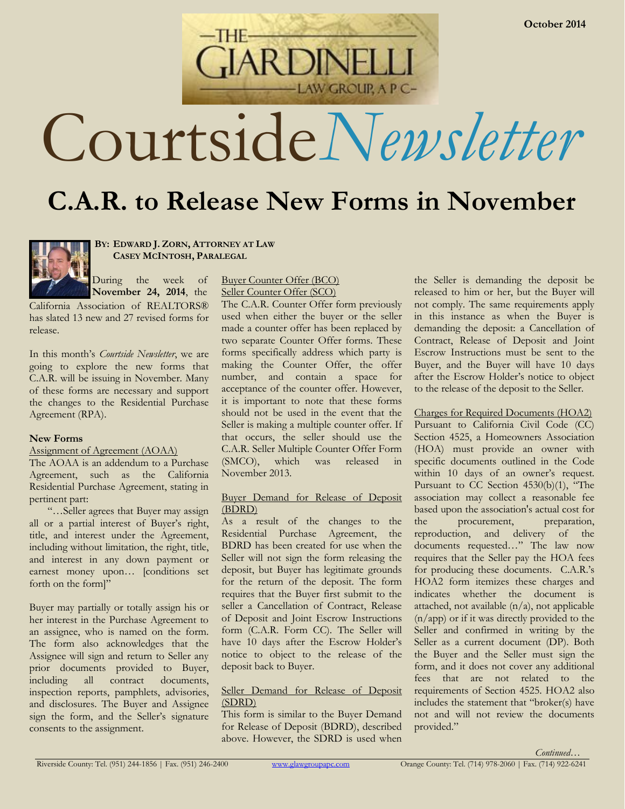Courtside*Newsletter*

AW GROUP, A P C-

# **C.A.R. to Release New Forms in November**



**BY: EDWARD J. ZORN, ATTORNEY AT LAW CASEY MCINTOSH, PARALEGAL**

During the week of **November 24, 2014**, the

California Association of REALTORS® has slated 13 new and 27 revised forms for release.

In this month's *Courtside Newsletter*, we are going to explore the new forms that C.A.R. will be issuing in November. Many of these forms are necessary and support the changes to the Residential Purchase Agreement (RPA).

# **New Forms**

Assignment of Agreement (AOAA)

The AOAA is an addendum to a Purchase Agreement, such as the California Residential Purchase Agreement, stating in pertinent part:

"…Seller agrees that Buyer may assign all or a partial interest of Buyer's right, title, and interest under the Agreement, including without limitation, the right, title, and interest in any down payment or earnest money upon… [conditions set forth on the form]"

Buyer may partially or totally assign his or her interest in the Purchase Agreement to an assignee, who is named on the form. The form also acknowledges that the Assignee will sign and return to Seller any prior documents provided to Buyer, including all contract documents, inspection reports, pamphlets, advisories, and disclosures. The Buyer and Assignee sign the form, and the Seller's signature consents to the assignment.

## Buyer Counter Offer (BCO) Seller Counter Offer (SCO)

The C.A.R. Counter Offer form previously used when either the buyer or the seller made a counter offer has been replaced by two separate Counter Offer forms. These forms specifically address which party is making the Counter Offer, the offer number, and contain a space for acceptance of the counter offer. However, it is important to note that these forms should not be used in the event that the Seller is making a multiple counter offer. If that occurs, the seller should use the C.A.R. Seller Multiple Counter Offer Form (SMCO), which was released in November 2013.

## Buyer Demand for Release of Deposit (BDRD)

As a result of the changes to the Residential Purchase Agreement, the BDRD has been created for use when the Seller will not sign the form releasing the deposit, but Buyer has legitimate grounds for the return of the deposit. The form requires that the Buyer first submit to the seller a Cancellation of Contract, Release of Deposit and Joint Escrow Instructions form (C.A.R. Form CC). The Seller will have 10 days after the Escrow Holder's notice to object to the release of the deposit back to Buyer.

# Seller Demand for Release of Deposit (SDRD)

This form is similar to the Buyer Demand for Release of Deposit (BDRD), described above. However, the SDRD is used when the Seller is demanding the deposit be released to him or her, but the Buyer will not comply. The same requirements apply in this instance as when the Buyer is demanding the deposit: a Cancellation of Contract, Release of Deposit and Joint Escrow Instructions must be sent to the Buyer, and the Buyer will have 10 days after the Escrow Holder's notice to object to the release of the deposit to the Seller.

# Charges for Required Documents (HOA2)

Pursuant to California Civil Code (CC) Section 4525, a Homeowners Association (HOA) must provide an owner with specific documents outlined in the Code within 10 days of an owner's request. Pursuant to CC Section 4530(b)(1), "The association may collect a reasonable fee based upon the association's actual cost for the procurement, preparation, reproduction, and delivery of the documents requested…" The law now requires that the Seller pay the HOA fees for producing these documents. C.A.R.'s HOA2 form itemizes these charges and indicates whether the document is attached, not available  $(n/a)$ , not applicable (n/app) or if it was directly provided to the Seller and confirmed in writing by the Seller as a current document (DP). Both the Buyer and the Seller must sign the form, and it does not cover any additional fees that are not related to the requirements of Section 4525. HOA2 also includes the statement that "broker(s) have not and will not review the documents provided."



*Continued…*